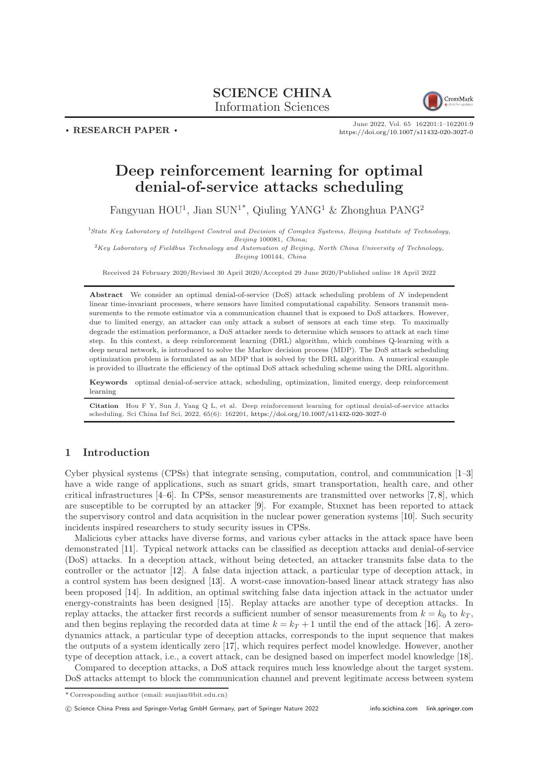# SCIENCE CHINA Information Sciences



. RESEARCH PAPER .

June 2022, Vol. 65 162201:1–162201[:9](#page-8-0) <https://doi.org/10.1007/s11432-020-3027-0>

# Deep reinforcement learning for optimal denial-of-service attacks scheduling

Fangyuan HOU<sup>1</sup>, Jian SUN<sup>1\*</sup>, Qiuling YANG<sup>1</sup> & Zhonghua PANG<sup>2</sup>

<sup>1</sup>State Key Laboratory of Intelligent Control and Decision of Complex Systems, Beijing Institute of Technology, Beijing 100081, China;

 $2Key Laboratory$  of Fieldbus Technology and Automation of Beijing, North China University of Technology, Beijing 100144, China

Received 24 February 2020/Revised 30 April 2020/Accepted 29 June 2020/Published online 18 April 2022

Abstract We consider an optimal denial-of-service (DoS) attack scheduling problem of N independent linear time-invariant processes, where sensors have limited computational capability. Sensors transmit measurements to the remote estimator via a communication channel that is exposed to DoS attackers. However, due to limited energy, an attacker can only attack a subset of sensors at each time step. To maximally degrade the estimation performance, a DoS attacker needs to determine which sensors to attack at each time step. In this context, a deep reinforcement learning (DRL) algorithm, which combines Q-learning with a deep neural network, is introduced to solve the Markov decision process (MDP). The DoS attack scheduling optimization problem is formulated as an MDP that is solved by the DRL algorithm. A numerical example is provided to illustrate the efficiency of the optimal DoS attack scheduling scheme using the DRL algorithm.

Keywords optimal denial-of-service attack, scheduling, optimization, limited energy, deep reinforcement learning

Citation Hou F Y, Sun J, Yang Q L, et al. Deep reinforcement learning for optimal denial-of-service attacks scheduling. Sci China Inf Sci, 2022, 65(6): 162201, <https://doi.org/10.1007/s11432-020-3027-0>

# 1 Introduction

Cyber physical systems (CPSs) that integrate sensing, computation, control, and communication [\[1–](#page-7-0)[3\]](#page-7-1) have a wide range of applications, such as smart grids, smart transportation, health care, and other critical infrastructures [\[4](#page-7-2)[–6\]](#page-7-3). In CPSs, sensor measurements are transmitted over networks [\[7,](#page-7-4) [8\]](#page-7-5), which are susceptible to be corrupted by an attacker [\[9\]](#page-7-6). For example, Stuxnet has been reported to attack the supervisory control and data acquisition in the nuclear power generation systems [\[10\]](#page-7-7). Such security incidents inspired researchers to study security issues in CPSs.

Malicious cyber attacks have diverse forms, and various cyber attacks in the attack space have been demonstrated [\[11\]](#page-7-8). Typical network attacks can be classified as deception attacks and denial-of-service (DoS) attacks. In a deception attack, without being detected, an attacker transmits false data to the controller or the actuator [\[12\]](#page-7-9). A false data injection attack, a particular type of deception attack, in a control system has been designed [\[13\]](#page-7-10). A worst-case innovation-based linear attack strategy has also been proposed [\[14\]](#page-7-11). In addition, an optimal switching false data injection attack in the actuator under energy-constraints has been designed [\[15\]](#page-7-12). Replay attacks are another type of deception attacks. In replay attacks, the attacker first records a sufficient number of sensor measurements from  $k = k_0$  to  $k_T$ , and then begins replaying the recorded data at time  $k = k_T + 1$  until the end of the attack [\[16\]](#page-7-13). A zerodynamics attack, a particular type of deception attacks, corresponds to the input sequence that makes the outputs of a system identically zero [\[17\]](#page-7-14), which requires perfect model knowledge. However, another type of deception attack, i.e., a covert attack, can be designed based on imperfect model knowledge [\[18\]](#page-7-15).

Compared to deception attacks, a DoS attack requires much less knowledge about the target system. DoS attacks attempt to block the communication channel and prevent legitimate access between system

<sup>\*</sup> Corresponding author (email: sunjian@bit.edu.cn)

c Science China Press and Springer-Verlag GmbH Germany, part of Springer Nature 2022 <info.scichina.com><link.springer.com>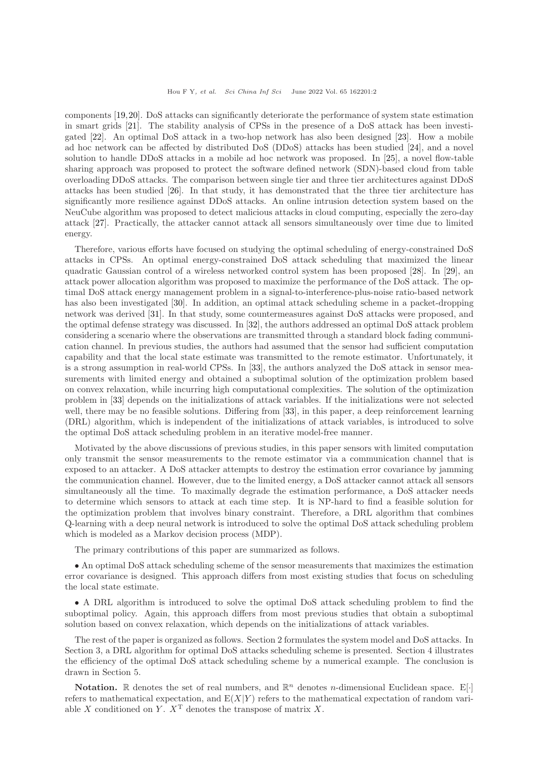### Hou F Y, et al. Sci China Inf Sci June 2022 Vol. 65 162201:2

components [\[19,](#page-7-16)[20\]](#page-7-17). DoS attacks can significantly deteriorate the performance of system state estimation in smart grids [\[21\]](#page-7-18). The stability analysis of CPSs in the presence of a DoS attack has been investigated [\[22\]](#page-7-19). An optimal DoS attack in a two-hop network has also been designed [\[23\]](#page-7-20). How a mobile ad hoc network can be affected by distributed DoS (DDoS) attacks has been studied [\[24\]](#page-7-21), and a novel solution to handle DDoS attacks in a mobile ad hoc network was proposed. In [\[25\]](#page-7-22), a novel flow-table sharing approach was proposed to protect the software defined network (SDN)-based cloud from table overloading DDoS attacks. The comparison between single tier and three tier architectures against DDoS attacks has been studied [\[26\]](#page-7-23). In that study, it has demonstrated that the three tier architecture has significantly more resilience against DDoS attacks. An online intrusion detection system based on the NeuCube algorithm was proposed to detect malicious attacks in cloud computing, especially the zero-day attack [\[27\]](#page-7-24). Practically, the attacker cannot attack all sensors simultaneously over time due to limited energy.

Therefore, various efforts have focused on studying the optimal scheduling of energy-constrained DoS attacks in CPSs. An optimal energy-constrained DoS attack scheduling that maximized the linear quadratic Gaussian control of a wireless networked control system has been proposed [\[28\]](#page-7-25). In [\[29\]](#page-7-26), an attack power allocation algorithm was proposed to maximize the performance of the DoS attack. The optimal DoS attack energy management problem in a signal-to-interference-plus-noise ratio-based network has also been investigated [\[30\]](#page-8-1). In addition, an optimal attack scheduling scheme in a packet-dropping network was derived [\[31\]](#page-8-2). In that study, some countermeasures against DoS attacks were proposed, and the optimal defense strategy was discussed. In [\[32\]](#page-8-3), the authors addressed an optimal DoS attack problem considering a scenario where the observations are transmitted through a standard block fading communication channel. In previous studies, the authors had assumed that the sensor had sufficient computation capability and that the local state estimate was transmitted to the remote estimator. Unfortunately, it is a strong assumption in real-world CPSs. In [\[33\]](#page-8-4), the authors analyzed the DoS attack in sensor measurements with limited energy and obtained a suboptimal solution of the optimization problem based on convex relaxation, while incurring high computational complexities. The solution of the optimization problem in [\[33\]](#page-8-4) depends on the initializations of attack variables. If the initializations were not selected well, there may be no feasible solutions. Differing from [\[33\]](#page-8-4), in this paper, a deep reinforcement learning (DRL) algorithm, which is independent of the initializations of attack variables, is introduced to solve the optimal DoS attack scheduling problem in an iterative model-free manner.

Motivated by the above discussions of previous studies, in this paper sensors with limited computation only transmit the sensor measurements to the remote estimator via a communication channel that is exposed to an attacker. A DoS attacker attempts to destroy the estimation error covariance by jamming the communication channel. However, due to the limited energy, a DoS attacker cannot attack all sensors simultaneously all the time. To maximally degrade the estimation performance, a DoS attacker needs to determine which sensors to attack at each time step. It is NP-hard to find a feasible solution for the optimization problem that involves binary constraint. Therefore, a DRL algorithm that combines Q-learning with a deep neural network is introduced to solve the optimal DoS attack scheduling problem which is modeled as a Markov decision process (MDP).

The primary contributions of this paper are summarized as follows.

• An optimal DoS attack scheduling scheme of the sensor measurements that maximizes the estimation error covariance is designed. This approach differs from most existing studies that focus on scheduling the local state estimate.

• A DRL algorithm is introduced to solve the optimal DoS attack scheduling problem to find the suboptimal policy. Again, this approach differs from most previous studies that obtain a suboptimal solution based on convex relaxation, which depends on the initializations of attack variables.

The rest of the paper is organized as follows. Section 2 formulates the system model and DoS attacks. In Section 3, a DRL algorithm for optimal DoS attacks scheduling scheme is presented. Section 4 illustrates the efficiency of the optimal DoS attack scheduling scheme by a numerical example. The conclusion is drawn in Section 5.

**Notation.** R denotes the set of real numbers, and  $\mathbb{R}^n$  denotes *n*-dimensional Euclidean space. E[·] refers to mathematical expectation, and  $E(X|Y)$  refers to the mathematical expectation of random variable X conditioned on Y.  $X<sup>T</sup>$  denotes the transpose of matrix X.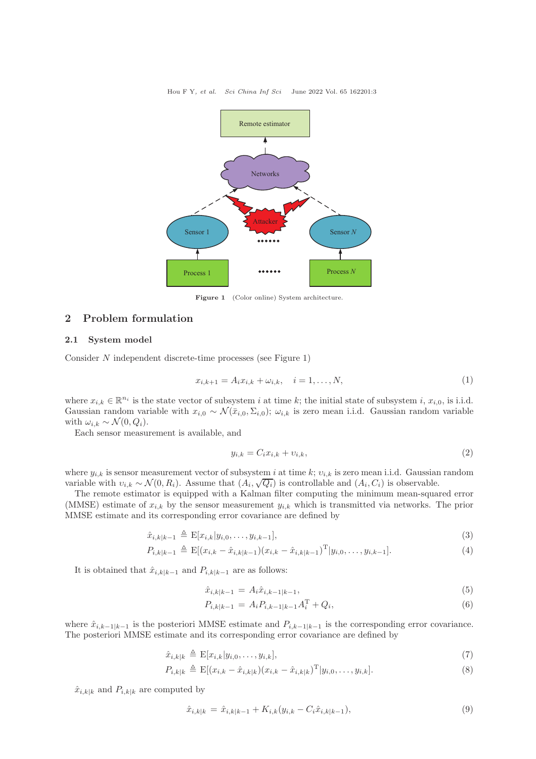Hou F Y, et al. Sci China Inf Sci June 2022 Vol. 65 162201:3



Figure 1 (Color online) System architecture.

## 2 Problem formulation

## 2.1 System model

Consider N independent discrete-time processes (see Figure 1)

$$
x_{i,k+1} = A_i x_{i,k} + \omega_{i,k}, \quad i = 1, \dots, N,
$$
\n(1)

where  $x_{i,k} \in \mathbb{R}^{n_i}$  is the state vector of subsystem i at time k; the initial state of subsystem i,  $x_{i,0}$ , is i.i.d. Gaussian random variable with  $x_{i,0} \sim \mathcal{N}(\bar{x}_{i,0}, \Sigma_{i,0}); \omega_{i,k}$  is zero mean i.i.d. Gaussian random variable with  $\omega_{i,k} \sim \mathcal{N}(0, Q_i)$ .

Each sensor measurement is available, and

$$
y_{i,k} = C_i x_{i,k} + v_{i,k},\tag{2}
$$

where  $y_{i,k}$  is sensor measurement vector of subsystem i at time k;  $v_{i,k}$  is zero mean i.i.d. Gaussian random variable with  $v_{i,k} \sim \mathcal{N}(0, R_i)$ . Assume that  $(A_i, \sqrt{Q_i})$  is controllable and  $(A_i, C_i)$  is observable.

The remote estimator is equipped with a Kalman filter computing the minimum mean-squared error (MMSE) estimate of  $x_{i,k}$  by the sensor measurement  $y_{i,k}$  which is transmitted via networks. The prior MMSE estimate and its corresponding error covariance are defined by

$$
\hat{x}_{i,k|k-1} \triangleq \mathcal{E}[x_{i,k}|y_{i,0},\ldots,y_{i,k-1}],
$$
\n(3)

$$
P_{i,k|k-1} \triangleq \mathbb{E}[(x_{i,k} - \hat{x}_{i,k|k-1})(x_{i,k} - \hat{x}_{i,k|k-1})^{\mathrm{T}}|y_{i,0},\ldots,y_{i,k-1}].
$$
\n(4)

It is obtained that  $\hat{x}_{i,k|k-1}$  and  $P_{i,k|k-1}$  are as follows:

$$
\hat{x}_{i,k|k-1} = A_i \hat{x}_{i,k-1|k-1},\tag{5}
$$

$$
P_{i,k|k-1} = A_i P_{i,k-1|k-1} A_i^{\mathrm{T}} + Q_i, \tag{6}
$$

where  $\hat{x}_{i,k-1|k-1}$  is the posteriori MMSE estimate and  $P_{i,k-1|k-1}$  is the corresponding error covariance. The posteriori MMSE estimate and its corresponding error covariance are defined by

$$
\hat{x}_{i,k|k} \triangleq \mathcal{E}[x_{i,k}|y_{i,0},\ldots,y_{i,k}],\tag{7}
$$

$$
P_{i,k|k} \triangleq \mathbb{E}[(x_{i,k} - \hat{x}_{i,k|k})(x_{i,k} - \hat{x}_{i,k|k})^{\mathrm{T}}|y_{i,0},\ldots,y_{i,k}].
$$
\n(8)

 $\hat{x}_{i,k|k}$  and  $P_{i,k|k}$  are computed by

$$
\hat{x}_{i,k|k} = \hat{x}_{i,k|k-1} + K_{i,k}(y_{i,k} - C_i \hat{x}_{i,k|k-1}),
$$
\n(9)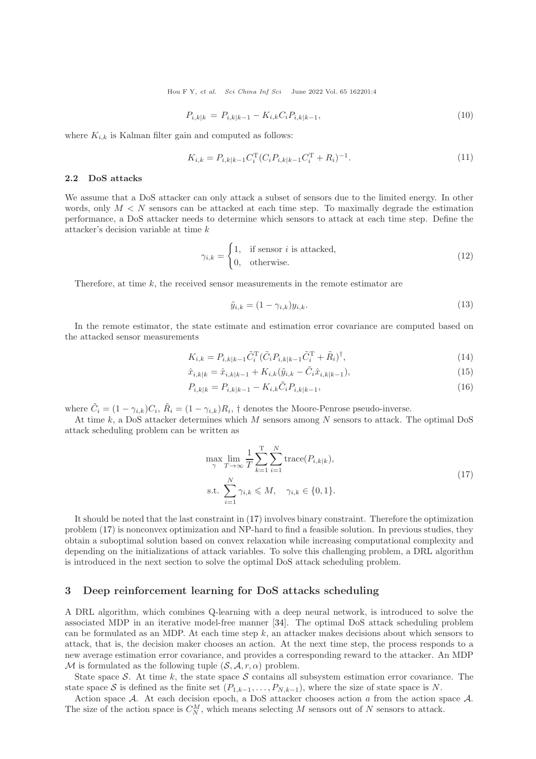Hou F Y, et al. Sci China Inf Sci June 2022 Vol. 65 162201:4

$$
P_{i,k|k} = P_{i,k|k-1} - K_{i,k} C_i P_{i,k|k-1},
$$
\n(10)

where  $K_{i,k}$  is Kalman filter gain and computed as follows:

$$
K_{i,k} = P_{i,k|k-1} C_i^{\mathrm{T}} (C_i P_{i,k|k-1} C_i^{\mathrm{T}} + R_i)^{-1}.
$$
\n(11)

#### 2.2 DoS attacks

We assume that a DoS attacker can only attack a subset of sensors due to the limited energy. In other words, only  $M < N$  sensors can be attacked at each time step. To maximally degrade the estimation performance, a DoS attacker needs to determine which sensors to attack at each time step. Define the attacker's decision variable at time k

$$
\gamma_{i,k} = \begin{cases} 1, & \text{if sensor } i \text{ is attacked,} \\ 0, & \text{otherwise.} \end{cases} \tag{12}
$$

Therefore, at time  $k$ , the received sensor measurements in the remote estimator are

$$
\tilde{y}_{i,k} = (1 - \gamma_{i,k}) y_{i,k}.\tag{13}
$$

In the remote estimator, the state estimate and estimation error covariance are computed based on the attacked sensor measurements

$$
K_{i,k} = P_{i,k|k-1} \tilde{C}_i^{\mathrm{T}} (\tilde{C}_i P_{i,k|k-1} \tilde{C}_i^{\mathrm{T}} + \tilde{R}_i)^{\dagger},\tag{14}
$$

$$
\hat{x}_{i,k|k} = \hat{x}_{i,k|k-1} + K_{i,k}(\tilde{y}_{i,k} - \tilde{C}_i \hat{x}_{i,k|k-1}),
$$
\n(15)

$$
P_{i,k|k} = P_{i,k|k-1} - K_{i,k}\tilde{C}_i P_{i,k|k-1},
$$
\n(16)

where  $\tilde{C}_i = (1 - \gamma_{i,k})C_i$ ,  $\tilde{R}_i = (1 - \gamma_{i,k})R_i$ , † denotes the Moore-Penrose pseudo-inverse.

At time  $k$ , a DoS attacker determines which  $M$  sensors among  $N$  sensors to attack. The optimal DoS attack scheduling problem can be written as

<span id="page-3-0"></span>
$$
\max_{\gamma} \lim_{T \to \infty} \frac{1}{T} \sum_{k=1}^{T} \sum_{i=1}^{N} \text{trace}(P_{i,k|k}),
$$
  
s.t. 
$$
\sum_{i=1}^{N} \gamma_{i,k} \leq M, \quad \gamma_{i,k} \in \{0, 1\}.
$$
 (17)

It should be noted that the last constraint in [\(17\)](#page-3-0) involves binary constraint. Therefore the optimization problem [\(17\)](#page-3-0) is nonconvex optimization and NP-hard to find a feasible solution. In previous studies, they obtain a suboptimal solution based on convex relaxation while increasing computational complexity and depending on the initializations of attack variables. To solve this challenging problem, a DRL algorithm is introduced in the next section to solve the optimal DoS attack scheduling problem.

## 3 Deep reinforcement learning for DoS attacks scheduling

A DRL algorithm, which combines Q-learning with a deep neural network, is introduced to solve the associated MDP in an iterative model-free manner [\[34\]](#page-8-5). The optimal DoS attack scheduling problem can be formulated as an MDP. At each time step  $k$ , an attacker makes decisions about which sensors to attack, that is, the decision maker chooses an action. At the next time step, the process responds to a new average estimation error covariance, and provides a corresponding reward to the attacker. An MDP M is formulated as the following tuple  $(S, \mathcal{A}, r, \alpha)$  problem.

State space S. At time k, the state space S contains all subsystem estimation error covariance. The state space S is defined as the finite set  $(P_{1,k-1}, \ldots, P_{N,k-1})$ , where the size of state space is N.

Action space A. At each decision epoch, a DoS attacker chooses action a from the action space A. The size of the action space is  $C_N^M$ , which means selecting M sensors out of N sensors to attack.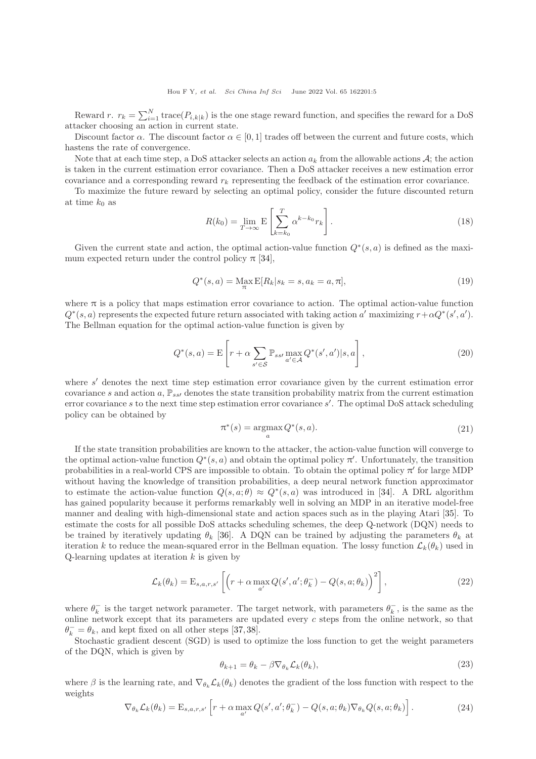Reward r.  $r_k = \sum_{i=1}^{N} \text{trace}(P_{i,k|k})$  is the one stage reward function, and specifies the reward for a DoS attacker choosing an action in current state.

Discount factor  $\alpha$ . The discount factor  $\alpha \in [0, 1]$  trades off between the current and future costs, which hastens the rate of convergence.

Note that at each time step, a DoS attacker selects an action  $a_k$  from the allowable actions  $A$ ; the action is taken in the current estimation error covariance. Then a DoS attacker receives a new estimation error covariance and a corresponding reward  $r_k$  representing the feedback of the estimation error covariance.

To maximize the future reward by selecting an optimal policy, consider the future discounted return at time  $k_0$  as

$$
R(k_0) = \lim_{T \to \infty} \mathcal{E}\left[\sum_{k=k_0}^{T} \alpha^{k-k_0} r_k\right].
$$
\n(18)

Given the current state and action, the optimal action-value function  $Q^*(s, a)$  is defined as the maximum expected return under the control policy  $\pi$  [\[34\]](#page-8-5),

$$
Q^*(s, a) = \max_{\pi} E[R_k | s_k = s, a_k = a, \pi],
$$
\n(19)

where  $\pi$  is a policy that maps estimation error covariance to action. The optimal action-value function  $Q^*(s, a)$  represents the expected future return associated with taking action a' maximizing  $r + \alpha Q^*(s', a')$ . The Bellman equation for the optimal action-value function is given by

$$
Q^*(s, a) = \mathcal{E}\left[r + \alpha \sum_{s' \in \mathcal{S}} \mathbb{P}_{ss'} \max_{a' \in \mathcal{A}} Q^*(s', a') | s, a\right],\tag{20}
$$

where s' denotes the next time step estimation error covariance given by the current estimation error covariance s and action a,  $\mathbb{P}_{ss'}$  denotes the state transition probability matrix from the current estimation error covariance s to the next time step estimation error covariance s'. The optimal DoS attack scheduling policy can be obtained by

$$
\pi^*(s) = \underset{a}{\operatorname{argmax}} Q^*(s, a). \tag{21}
$$

If the state transition probabilities are known to the attacker, the action-value function will converge to the optimal action-value function  $Q^*(s, a)$  and obtain the optimal policy  $\pi'$ . Unfortunately, the transition probabilities in a real-world CPS are impossible to obtain. To obtain the optimal policy  $\pi'$  for large MDP without having the knowledge of transition probabilities, a deep neural network function approximator to estimate the action-value function  $Q(s, a; \theta) \approx Q^*(s, a)$  was introduced in [\[34\]](#page-8-5). A DRL algorithm has gained popularity because it performs remarkably well in solving an MDP in an iterative model-free manner and dealing with high-dimensional state and action spaces such as in the playing Atari [\[35\]](#page-8-6). To estimate the costs for all possible DoS attacks scheduling schemes, the deep Q-network (DQN) needs to be trained by iteratively updating  $\theta_k$  [\[36\]](#page-8-7). A DQN can be trained by adjusting the parameters  $\theta_k$  at iteration k to reduce the mean-squared error in the Bellman equation. The lossy function  $\mathcal{L}_k(\theta_k)$  used in  $Q$ -learning updates at iteration  $k$  is given by

<span id="page-4-0"></span>
$$
\mathcal{L}_k(\theta_k) = \mathcal{E}_{s,a,r,s'} \left[ \left( r + \alpha \max_{a'} Q(s', a'; \theta_k^-) - Q(s, a; \theta_k) \right)^2 \right],\tag{22}
$$

where  $\theta_k^-$  is the target network parameter. The target network, with parameters  $\theta_k^-$ , is the same as the online network except that its parameters are updated every  $c$  steps from the online network, so that  $\theta_k^- = \theta_k$ , and kept fixed on all other steps [\[37,](#page-8-8)[38\]](#page-8-9).

Stochastic gradient descent (SGD) is used to optimize the loss function to get the weight parameters of the DQN, which is given by

<span id="page-4-1"></span>
$$
\theta_{k+1} = \theta_k - \beta \nabla_{\theta_k} \mathcal{L}_k(\theta_k), \tag{23}
$$

where  $\beta$  is the learning rate, and  $\nabla_{\theta_k} \mathcal{L}_k(\theta_k)$  denotes the gradient of the loss function with respect to the weights

$$
\nabla_{\theta_k} \mathcal{L}_k(\theta_k) = \mathbf{E}_{s,a,r,s'} \left[ r + \alpha \max_{a'} Q(s',a';\theta_k^-) - Q(s,a;\theta_k) \nabla_{\theta_k} Q(s,a;\theta_k) \right]. \tag{24}
$$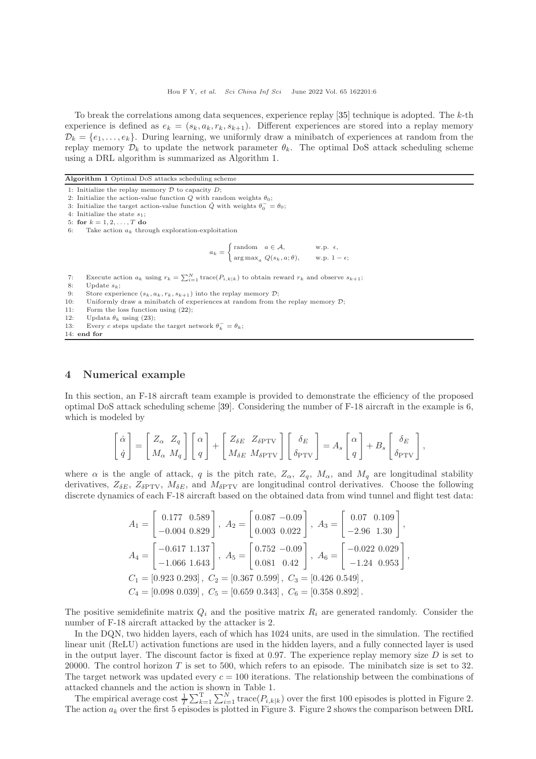To break the correlations among data sequences, experience replay [\[35\]](#page-8-6) technique is adopted. The k-th experience is defined as  $e_k = (s_k, a_k, r_k, s_{k+1})$ . Different experiences are stored into a replay memory  $\mathcal{D}_k = \{e_1, \ldots, e_k\}.$  During learning, we uniformly draw a minibatch of experiences at random from the replay memory  $\mathcal{D}_k$  to update the network parameter  $\theta_k$ . The optimal DoS attack scheduling scheme using a DRL algorithm is summarized as Algorithm 1.

Algorithm 1 Optimal DoS attacks scheduling scheme

3: Initialize the target action-value function  $\hat{Q}$  with weights  $\theta_0^- = \theta_0$ ;

```
4: Initialize the state s_1;
```

```
5: for k = 1, 2, \ldots, T do
```

```
6: Take action a_k through exploration-exploitation
```

$$
a_k = \begin{cases} \text{random} & a \in \mathcal{A}, \\ \arg \max_a \ Q(s_k, a; \theta), \qquad \text{w.p. } 1 - \epsilon; \end{cases}
$$

- 7: Execute action  $a_k$  using  $r_k = \sum_{i=1}^N \text{trace}(P_{i,k|k})$  to obtain reward  $r_k$  and observe  $s_{k+1}$ ;
- 8: Update  $s_k$ :

- 10: Uniformly draw a minibatch of experiences at random from the replay memory  $\mathcal{D}$ ;
- 11: Form the loss function using [\(22\)](#page-4-0);
- 12: Updata  $\theta_k$  using [\(23\)](#page-4-1);
- 13: Every c steps update the target network  $\theta_k^- = \theta_k$ ; 14: end for

# 4 Numerical example

In this section, an F-18 aircraft team example is provided to demonstrate the efficiency of the proposed optimal DoS attack scheduling scheme [\[39\]](#page-8-10). Considering the number of F-18 aircraft in the example is 6, which is modeled by

$$
\begin{bmatrix} \dot{\alpha} \\ \dot{q} \end{bmatrix} = \begin{bmatrix} Z_{\alpha} & Z_q \\ M_{\alpha} & M_q \end{bmatrix} \begin{bmatrix} \alpha \\ q \end{bmatrix} + \begin{bmatrix} Z_{\delta E} & Z_{\delta \text{PTV}} \\ M_{\delta E} & M_{\delta \text{PTV}} \end{bmatrix} \begin{bmatrix} \delta_E \\ \delta_{\text{PTV}} \end{bmatrix} = A_s \begin{bmatrix} \alpha \\ q \end{bmatrix} + B_s \begin{bmatrix} \delta_E \\ \delta_{\text{PTV}} \end{bmatrix},
$$

where  $\alpha$  is the angle of attack, q is the pitch rate,  $Z_{\alpha}$ ,  $Z_{q}$ ,  $M_{\alpha}$ , and  $M_{q}$  are longitudinal stability derivatives,  $Z_{\delta E}$ ,  $Z_{\delta PTV}$ ,  $M_{\delta E}$ , and  $M_{\delta PTV}$  are longitudinal control derivatives. Choose the following discrete dynamics of each F-18 aircraft based on the obtained data from wind tunnel and flight test data:

$$
A_1 = \begin{bmatrix} 0.177 & 0.589 \\ -0.004 & 0.829 \end{bmatrix}, A_2 = \begin{bmatrix} 0.087 & -0.09 \\ 0.003 & 0.022 \end{bmatrix}, A_3 = \begin{bmatrix} 0.07 & 0.109 \\ -2.96 & 1.30 \end{bmatrix},
$$
  
\n
$$
A_4 = \begin{bmatrix} -0.617 & 1.137 \\ -1.066 & 1.643 \end{bmatrix}, A_5 = \begin{bmatrix} 0.752 & -0.09 \\ 0.081 & 0.42 \end{bmatrix}, A_6 = \begin{bmatrix} -0.022 & 0.029 \\ -1.24 & 0.953 \end{bmatrix},
$$
  
\n
$$
C_1 = [0.923 & 0.293], C_2 = [0.367 & 0.599], C_3 = [0.426 & 0.549],
$$
  
\n
$$
C_4 = [0.098 & 0.039], C_5 = [0.659 & 0.343], C_6 = [0.358 & 0.892].
$$

The positive semidefinite matrix  $Q_i$  and the positive matrix  $R_i$  are generated randomly. Consider the number of F-18 aircraft attacked by the attacker is 2.

In the DQN, two hidden layers, each of which has 1024 units, are used in the simulation. The rectified linear unit (ReLU) activation functions are used in the hidden layers, and a fully connected layer is used in the output layer. The discount factor is fixed at  $0.97$ . The experience replay memory size  $D$  is set to 20000. The control horizon  $T$  is set to 500, which refers to an episode. The minibatch size is set to 32. The target network was updated every  $c = 100$  iterations. The relationship between the combinations of attacked channels and the action is shown in Table 1.

The empirical average cost  $\frac{1}{T} \sum_{k=1}^{T} \sum_{i=1}^{N} \text{trace}(P_{i,k|k})$  over the first 100 episodes is plotted in Figure 2. The action  $a_k$  over the first 5 episodes is plotted in Figure 3. Figure 2 shows the comparison between DRL

<sup>1:</sup> Initialize the replay memory  $D$  to capacity  $D$ ;

<sup>2:</sup> Initialize the action-value function  $Q$  with random weights  $\theta_0$ ;

<sup>9:</sup> Store experience  $(s_k, a_k, r_k, s_{k+1})$  into the replay memory  $\mathcal{D}$ ;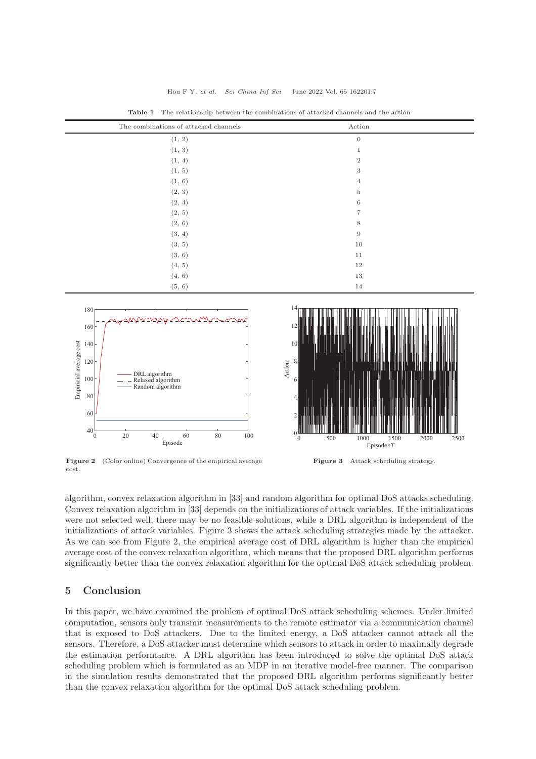| The combinations of attacked channels | Action           |  |
|---------------------------------------|------------------|--|
| (1, 2)                                | $\mathbf{0}$     |  |
| (1, 3)                                | $\mathbf{1}$     |  |
| (1, 4)                                | $\overline{2}$   |  |
| (1, 5)                                | 3                |  |
| (1, 6)                                | $\overline{4}$   |  |
| (2, 3)                                | $\bf 5$          |  |
| (2, 4)                                | 6                |  |
| (2, 5)                                | $\overline{7}$   |  |
| (2, 6)                                | 8                |  |
| (3, 4)                                | $\boldsymbol{9}$ |  |
| (3, 5)                                | $10\,$           |  |
| (3, 6)                                | 11               |  |
| (4, 5)                                | 12               |  |
| (4, 6)                                | 13               |  |
| (5, 6)                                | 14               |  |

Table 1 The relationship between the combinations of attacked channels and the action



Figure 2 (Color online) Convergence of the empirical average cost.

algorithm, convex relaxation algorithm in [\[33\]](#page-8-4) and random algorithm for optimal DoS attacks scheduling. Convex relaxation algorithm in [\[33\]](#page-8-4) depends on the initializations of attack variables. If the initializations were not selected well, there may be no feasible solutions, while a DRL algorithm is independent of the initializations of attack variables. Figure 3 shows the attack scheduling strategies made by the attacker. As we can see from Figure 2, the empirical average cost of DRL algorithm is higher than the empirical average cost of the convex relaxation algorithm, which means that the proposed DRL algorithm performs significantly better than the convex relaxation algorithm for the optimal DoS attack scheduling problem.

# 5 Conclusion

In this paper, we have examined the problem of optimal DoS attack scheduling schemes. Under limited computation, sensors only transmit measurements to the remote estimator via a communication channel that is exposed to DoS attackers. Due to the limited energy, a DoS attacker cannot attack all the sensors. Therefore, a DoS attacker must determine which sensors to attack in order to maximally degrade the estimation performance. A DRL algorithm has been introduced to solve the optimal DoS attack scheduling problem which is formulated as an MDP in an iterative model-free manner. The comparison in the simulation results demonstrated that the proposed DRL algorithm performs significantly better than the convex relaxation algorithm for the optimal DoS attack scheduling problem.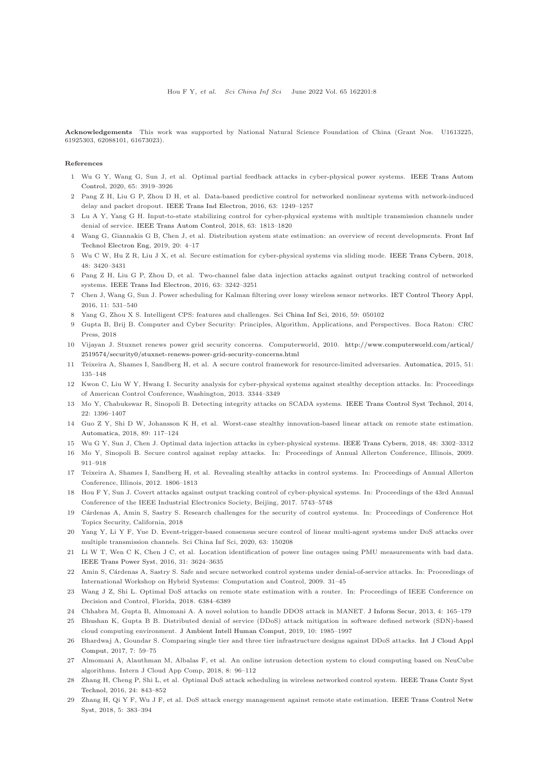Acknowledgements This work was supported by National Natural Science Foundation of China (Grant Nos. U1613225, 61925303, 62088101, 61673023).

#### <span id="page-7-0"></span>References

- 1 Wu G [Y, Wang G, Sun J, et al. Optimal partial feedback attacks](https://doi.org/10.1109/TAC.2020.2981915) in cyber-physical power systems. IEEE Trans Autom Control, 2020, 65: 3919–3926
- <span id="page-7-1"></span>2 Pang Z H, Liu G P, Zhou D H, et al. Data-based predictive control for networked nonlinear systems with network-induced delay and packet dropout. [IEEE Trans Ind Electron,](https://doi.org/10.1109/TIE.2015.2497206) 2016, 63: 1249–1257
- <span id="page-7-2"></span>3 Lu A Y, Yang G H. Input-to-state stabilizing control for cyber-physical systems with multiple transmission channels under denial of service. [IEEE Trans Autom Control,](https://doi.org/10.1109/TAC.2017.2751999) 2018, 63: 1813–1820
- 4 Wang G, Giannakis G B, Chen J, et al. Distribution system state estimation: an overview of recent developments. Front Inf Technol Electron Eng, 2019, 20: 4–17
- <span id="page-7-3"></span>5 Wu C W, Hu Z R, Liu J X, et al. Secure estimation for cyber-physical systems via sliding mode. [IEEE Trans Cybern,](https://doi.org/10.1109/TCYB.2018.2825984) 2018, 48: 3420–3431
- <span id="page-7-4"></span>6 Pang Z H, Liu G P, Zhou D, et al. Two-channel false data injection attacks against output tracking control of networked systems. [IEEE Trans Ind Electron,](https://doi.org/10.1109/TIE.2016.2535119) 2016, 63: 3242–3251
- <span id="page-7-5"></span>7 Chen J, Wang G, Sun J. Power scheduling for Kalman filtering over lossy wireless sensor networks. [IET Control Theory Appl,](https://doi.org/10.1049/iet-cta.2016.1047) 2016, 11: 531–540
- <span id="page-7-6"></span>8 Yang G, Zhou X S. Intelligent CPS: features and challenges. [Sci China Inf Sci,](https://doi.org/10.1007/s11432-016-5547-3) 2016, 59: 050102
- <span id="page-7-7"></span>9 Gupta B, Brij B. Computer and Cyber Security: Principles, Algorithm, Applications, and Perspectives. Boca Raton: CRC Press, 2018
- <span id="page-7-8"></span>10 Vijayan J. Stuxnet renews power grid security concerns. Computerworld, 2010. [http://www.computerworld.com/artical/](http://www.computerworld.com/artical/2519574/security0/stuxnet-renews-power-grid-security-concerns.html) [2519574/security0/stuxnet-renews-power-grid-security-concerns.html](http://www.computerworld.com/artical/2519574/security0/stuxnet-renews-power-grid-security-concerns.html)
- <span id="page-7-9"></span>11 Teixeira A, Shames I, Sandberg H, et al. A secure control framework for resource-limited adversaries. [Automatica,](https://doi.org/10.1016/j.automatica.2014.10.067) 2015, 51: 135–148
- <span id="page-7-10"></span>12 Kwon C, Liu W Y, Hwang I. Security analysis for cyber-physical systems against stealthy deception attacks. In: Proceedings of American Control Conference, Washington, 2013. 3344–3349
- <span id="page-7-11"></span>13 Mo Y, Chabukswar R, Sinopoli B. Detecting integrity attacks on SCADA systems. [IEEE Trans Control Syst Technol,](https://doi.org/10.1109/TCST.2013.2280899) 2014, 22: 1396–1407
- <span id="page-7-12"></span>14 Guo Z Y, Shi D W, Johansson K H, et al. Worst-case stealthy innovation-based linear attack on remote state estimation. [Automatica,](https://doi.org/10.1016/j.automatica.2017.11.018) 2018, 89: 117–124
- <span id="page-7-13"></span>15 Wu G Y, Sun J, Chen J. Optimal data injection attacks in cyber-physical systems. [IEEE Trans Cybern,](https://doi.org/10.1109/TCYB.2018.2846365) 2018, 48: 3302–3312
- <span id="page-7-14"></span>16 Mo Y, Sinopoli B. Secure control against replay attacks. In: Proceedings of Annual Allerton Conference, Illinois, 2009. 911–918
- <span id="page-7-15"></span>17 Teixeira A, Shames I, Sandberg H, et al. Revealing stealthy attacks in control systems. In: Proceedings of Annual Allerton Conference, Illinois, 2012. 1806–1813
- <span id="page-7-16"></span>18 Hou F Y, Sun J. Covert attacks against output tracking control of cyber-physical systems. In: Proceedings of the 43rd Annual Conference of the IEEE Industrial Electronics Society, Beijing, 2017. 5743–5748
- <span id="page-7-17"></span>19 C´ardenas A, Amin S, Sastry S. Research challenges for the security of control systems. In: Proceedings of Conference Hot Topics Security, California, 2018
- <span id="page-7-18"></span>20 Yang Y, Li Y F, Yue D. Event-trigger-based consensus secure control of linear multi-agent systems under DoS attacks over multiple transmission channels. Sci China Inf Sci, 2020, 63: 150208
- <span id="page-7-19"></span>21 Li W T, Wen C K, Chen J C, et al. Location identification of power line outages using PMU measurements with bad data. [IEEE Trans Power Syst,](https://doi.org/10.1109/TPWRS.2015.2495214) 2016, 31: 3624–3635
- Amin S, Cárdenas A, Sastry S. Safe and secure networked control systems under denial-of-service attacks. In: Proceedings of International Workshop on Hybrid Systems: Computation and Control, 2009. 31–45
- <span id="page-7-20"></span>23 Wang J Z, Shi L. Optimal DoS attacks on remote state estimation with a router. In: Proceedings of IEEE Conference on Decision and Control, Florida, 2018. 6384–6389
- <span id="page-7-22"></span><span id="page-7-21"></span>24 Chhabra M, Gupta B, Almomani A. A novel solution to handle DDOS attack in MANET. [J Inform Secur,](https://doi.org/10.4236/jis.2013.43019) 2013, 4: 165–179
- 25 Bhushan K, Gupta B B. Distributed denial of service (DDoS) attack mitigation in software defined network (SDN)-based cloud computing environment. [J Ambient Intell Human Comput,](https://doi.org/10.1007/s12652-018-0800-9) 2019, 10: 1985–1997
- <span id="page-7-23"></span>26 Bhardwaj A, Goundar S. Comparing single tier and three tier infrastructure designs against DDoS attacks. Int J Cloud Appl Comput, 2017, 7: 59–75
- <span id="page-7-24"></span>27 Almomani A, Alauthman M, Albalas F, et al. An online intrusion detection system to cloud computing based on NeuCube algorithms. Intern J Cloud App Comp, 2018, 8: 96–112
- <span id="page-7-25"></span>28 Zhang H, Cheng P, Shi L, et al. Optimal DoS attack scheduling in wireless networked control system. IEEE Trans Contr Syst Technol, 2016, 24: 843–852
- <span id="page-7-26"></span>29 Zhang H, Qi Y F, Wu J F, et al. DoS attack energy management against remote state estimation. IEEE Trans Control Netw Syst, 2018, 5: 383–394